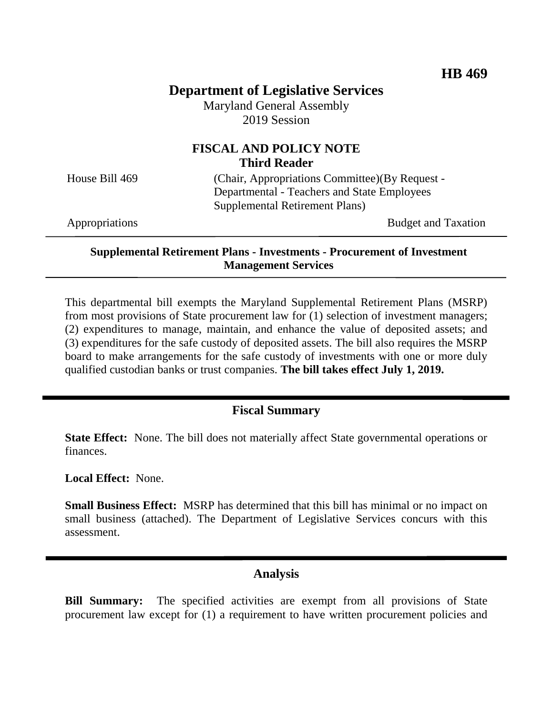# **Department of Legislative Services**

Maryland General Assembly 2019 Session

# **FISCAL AND POLICY NOTE Third Reader**

House Bill 469 (Chair, Appropriations Committee)(By Request - Departmental - Teachers and State Employees Supplemental Retirement Plans)

Appropriations Budget and Taxation

### **Supplemental Retirement Plans - Investments - Procurement of Investment Management Services**

This departmental bill exempts the Maryland Supplemental Retirement Plans (MSRP) from most provisions of State procurement law for (1) selection of investment managers; (2) expenditures to manage, maintain, and enhance the value of deposited assets; and (3) expenditures for the safe custody of deposited assets. The bill also requires the MSRP board to make arrangements for the safe custody of investments with one or more duly qualified custodian banks or trust companies. **The bill takes effect July 1, 2019.** 

## **Fiscal Summary**

**State Effect:** None. The bill does not materially affect State governmental operations or finances.

**Local Effect:** None.

**Small Business Effect:** MSRP has determined that this bill has minimal or no impact on small business (attached). The Department of Legislative Services concurs with this assessment.

## **Analysis**

**Bill Summary:** The specified activities are exempt from all provisions of State procurement law except for (1) a requirement to have written procurement policies and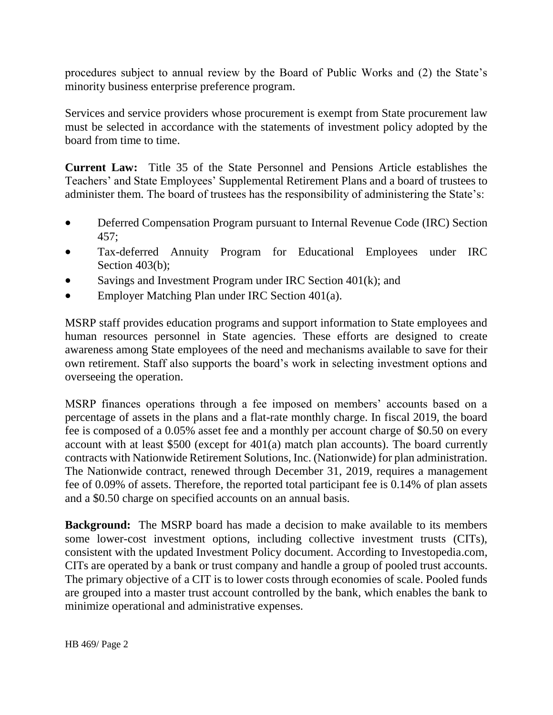procedures subject to annual review by the Board of Public Works and (2) the State's minority business enterprise preference program.

Services and service providers whose procurement is exempt from State procurement law must be selected in accordance with the statements of investment policy adopted by the board from time to time.

**Current Law:** Title 35 of the State Personnel and Pensions Article establishes the Teachers' and State Employees' Supplemental Retirement Plans and a board of trustees to administer them. The board of trustees has the responsibility of administering the State's:

- Deferred Compensation Program pursuant to Internal Revenue Code (IRC) Section 457;
- Tax-deferred Annuity Program for Educational Employees under IRC Section 403(b);
- Savings and Investment Program under IRC Section 401(k); and
- Employer Matching Plan under IRC Section 401(a).

MSRP staff provides education programs and support information to State employees and human resources personnel in State agencies. These efforts are designed to create awareness among State employees of the need and mechanisms available to save for their own retirement. Staff also supports the board's work in selecting investment options and overseeing the operation.

MSRP finances operations through a fee imposed on members' accounts based on a percentage of assets in the plans and a flat-rate monthly charge. In fiscal 2019, the board fee is composed of a 0.05% asset fee and a monthly per account charge of \$0.50 on every account with at least \$500 (except for 401(a) match plan accounts). The board currently contracts with Nationwide Retirement Solutions, Inc. (Nationwide) for plan administration. The Nationwide contract, renewed through December 31, 2019, requires a management fee of 0.09% of assets. Therefore, the reported total participant fee is 0.14% of plan assets and a \$0.50 charge on specified accounts on an annual basis.

**Background:** The MSRP board has made a decision to make available to its members some lower-cost investment options, including collective investment trusts (CITs), consistent with the updated Investment Policy document. According to Investopedia.com, CITs are operated by a bank or trust company and handle a group of pooled trust accounts. The primary objective of a CIT is to lower costs through economies of scale. Pooled funds are grouped into a master trust account controlled by the bank, which enables the bank to minimize operational and administrative expenses.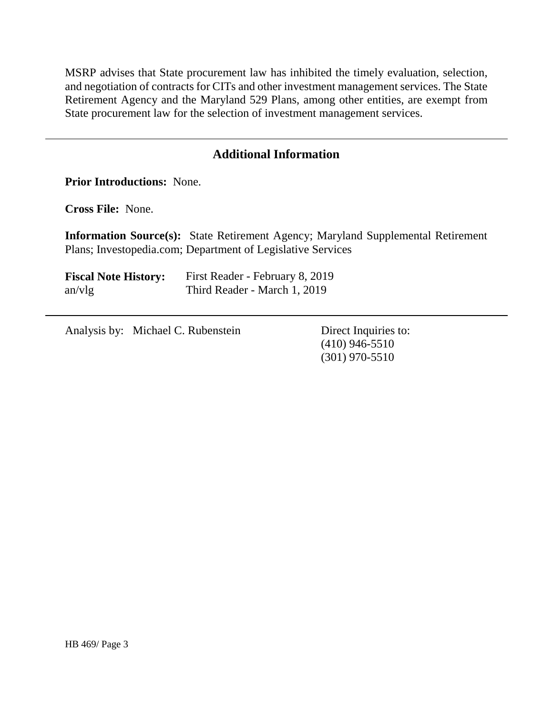MSRP advises that State procurement law has inhibited the timely evaluation, selection, and negotiation of contracts for CITs and other investment management services. The State Retirement Agency and the Maryland 529 Plans, among other entities, are exempt from State procurement law for the selection of investment management services.

# **Additional Information**

**Prior Introductions:** None.

**Cross File:** None.

**Information Source(s):** State Retirement Agency; Maryland Supplemental Retirement Plans; Investopedia.com; Department of Legislative Services

| <b>Fiscal Note History:</b> | First Reader - February 8, 2019 |
|-----------------------------|---------------------------------|
| an/vlg                      | Third Reader - March 1, 2019    |

Analysis by: Michael C. Rubenstein Direct Inquiries to:

(410) 946-5510 (301) 970-5510